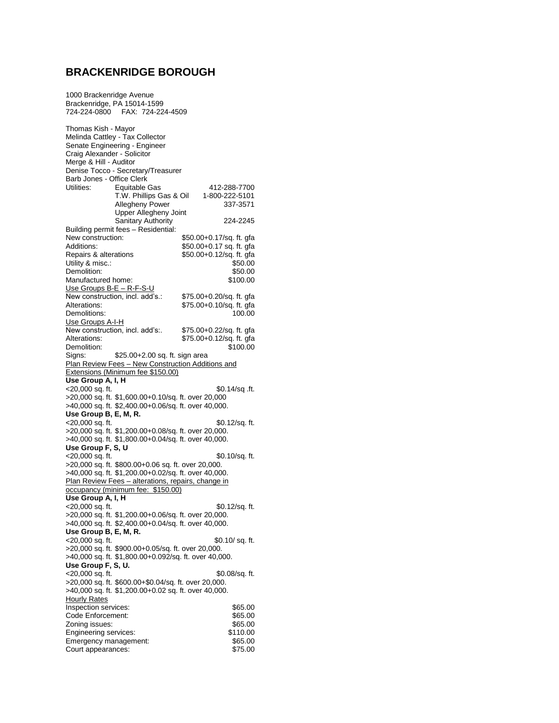## **BRACKENRIDGE BOROUGH**

1000 Brackenridge Avenue

Brackenridge, PA 15014-1599 724-224-0800 FAX: 724-224-4509 Thomas Kish - Mayor Melinda Cattley - Tax Collector Senate Engineering - Engineer Craig Alexander - Solicitor Merge & Hill - Auditor Denise Tocco - Secretary/Treasurer Barb Jones - Office Clerk<br>Utilities: Fourtable Equitable Gas 412-288-7700<br>T.W. Phillips Gas & Oil 1-800-222-5101 T.W. Phillips Gas & Oil Allegheny Power 337-3571 Upper Allegheny Joint Sanitary Authority 224-2245 Building permit fees – Residential: New construction: \$50.00+0.17/sq. ft. gfa<br>Additions: \$50.00+0.17 sq. ft. gfa Additions: \$50.00+0.17 sq. ft. gfa<br>Repairs & alterations \$50.00+0.12/sq. ft. gfa \$50.00+0.12/sq. ft. gfa Utility & misc.:<br>Demolition: \$50.00<br>\$50.00 Demolition: \$50.00<br>
Manufactured home: \$100.00 Manufactured home: Use Groups B-E – R-F-S-U New construction, incl. add's.: \$75.00+0.20/sq. ft. gfa<br>Alterations: \$75.00+0.10/sq. ft. gfa  $$75.00+0.10/sq.$  ft. gfa Demolitions: Use Groups A-I-H New construction, incl. add's:. \$75.00+0.22/sq. ft. gfa<br>Alterations: \$75.00+0.12/sq. ft. gfa  $$75.00+0.12$ /sq. ft. gfa<br>\$100.00 Demolition:<br>Signs: \$25.00+2.00 sq. ft. sign area Plan Review Fees – New Construction Additions and Extensions (Minimum fee \$150.00) **Use Group A, I, H** \$0.14/sq .ft. >20,000 sq. ft. \$1,600.00+0.10/sq. ft. over 20,000 >40,000 sq. ft. \$2,400.00+0.06/sq. ft. over 40,000. **Use Group B, E, M, R.**  $\textdegree$  <20,000 sq. ft.  $\textdegree$  \$0.12/sq. ft. >20,000 sq. ft. \$1,200.00+0.08/sq. ft. over 20,000. >40,000 sq. ft. \$1,800.00+0.04/sq. ft. over 40,000. **Use Group F, S, U**  $\leq$ 20,000 sq. ft.  $\qquad$  \$0.10/sq. ft. >20,000 sq. ft. \$800.00+0.06 sq. ft. over 20,000. >40,000 sq. ft. \$1,200.00+0.02/sq. ft. over 40,000. Plan Review Fees – alterations, repairs, change in occupancy (minimum fee: \$150.00) **Use Group A, I, H**  $\textdegree$  <20,000 sq. ft.  $\textdegree$  \$0.12/sq. ft. >20,000 sq. ft. \$1,200.00+0.06/sq. ft. over 20,000. >40,000 sq. ft. \$2,400.00+0.04/sq. ft. over 40,000. **Use Group B, E, M, R.**  $\langle 20,000 \text{ sq. ft.}$  \$0.10/ sq. ft. >20,000 sq. ft. \$900.00+0.05/sq. ft. over 20,000. >40,000 sq. ft. \$1,800.00+0.092/sq. ft. over 40,000. **Use Group F, S, U.** <20,000 sq. ft. \$0.08/sq. ft. >20,000 sq. ft. \$600.00+\$0.04/sq. ft. over 20,000. >40,000 sq. ft. \$1,200.00+0.02 sq. ft. over 40,000. Hourly Rates Inspection services:  $$65.00$ <br>Code Enforcement:  $$65.00$ Code Enforcement: \$65.00<br>
Zoning issues: \$65.00 zoning issues:<br>
Engineering services:<br>
State Sales State State State State State State State State State State State State State State State State S Engineering services: Emergency management:  $$65.00$ <br>Court appearances:  $$75.00$ Court appearances: